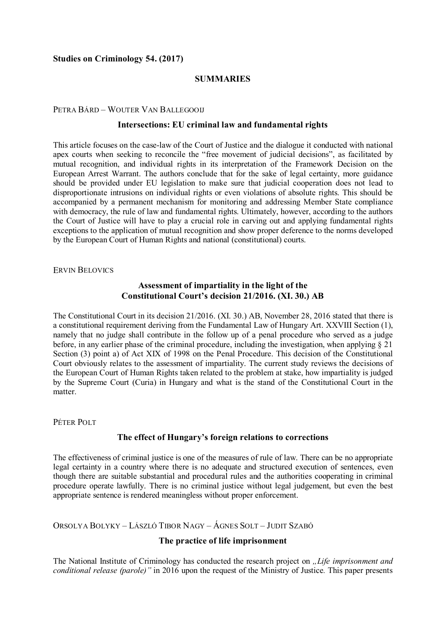### **Studies on Criminology 54. (2017)**

## **SUMMARIES**

#### PETRA BÁRD – WOUTER VAN BALLEGOOIJ

#### **Intersections: EU criminal law and fundamental rights**

This article focuses on the case-law of the Court of Justice and the dialogue it conducted with national apex courts when seeking to reconcile the "free movement of judicial decisions", as facilitated by mutual recognition, and individual rights in its interpretation of the Framework Decision on the European Arrest Warrant. The authors conclude that for the sake of legal certainty, more guidance should be provided under EU legislation to make sure that judicial cooperation does not lead to disproportionate intrusions on individual rights or even violations of absolute rights. This should be accompanied by a permanent mechanism for monitoring and addressing Member State compliance with democracy, the rule of law and fundamental rights. Ultimately, however, according to the authors the Court of Justice will have to play a crucial role in carving out and applying fundamental rights exceptions to the application of mutual recognition and show proper deference to the norms developed by the European Court of Human Rights and national (constitutional) courts.

ERVIN BELOVICS

## **Assessment of impartiality in the light of the Constitutional Court's decision 21/2016. (XI. 30.) AB**

The Constitutional Court in its decision 21/2016. (XI. 30.) AB, November 28, 2016 stated that there is a constitutional requirement deriving from the Fundamental Law of Hungary Art. XXVIII Section (1), namely that no judge shall contribute in the follow up of a penal procedure who served as a judge before, in any earlier phase of the criminal procedure, including the investigation, when applying § 21 Section (3) point a) of Act XIX of 1998 on the Penal Procedure. This decision of the Constitutional Court obviously relates to the assessment of impartiality. The current study reviews the decisions of the European Court of Human Rights taken related to the problem at stake, how impartiality is judged by the Supreme Court (Curia) in Hungary and what is the stand of the Constitutional Court in the matter.

PÉTER POLT

### **The effect of Hungary's foreign relations to corrections**

The effectiveness of criminal justice is one of the measures of rule of law. There can be no appropriate legal certainty in a country where there is no adequate and structured execution of sentences, even though there are suitable substantial and procedural rules and the authorities cooperating in criminal procedure operate lawfully. There is no criminal justice without legal judgement, but even the best appropriate sentence is rendered meaningless without proper enforcement.

ORSOLYA BOLYKY – LÁSZLÓ TIBOR NAGY – ÁGNES SOLT – JUDIT SZABÓ

### **The practice of life imprisonment**

The National Institute of Criminology has conducted the research project on *"Life imprisonment and conditional release (parole)"* in 2016 upon the request of the Ministry of Justice*.* This paper presents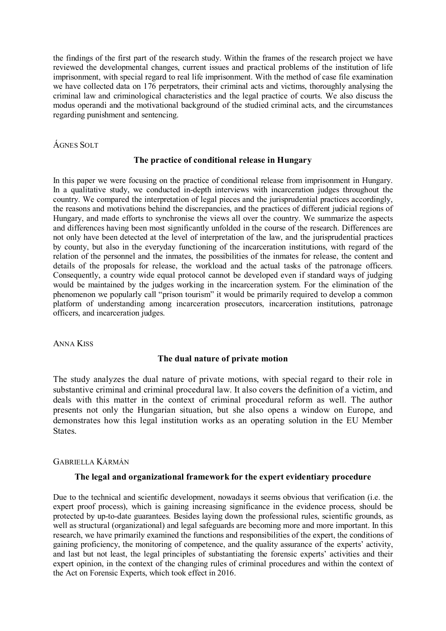the findings of the first part of the research study. Within the frames of the research project we have reviewed the developmental changes, current issues and practical problems of the institution of life imprisonment, with special regard to real life imprisonment. With the method of case file examination we have collected data on 176 perpetrators, their criminal acts and victims, thoroughly analysing the criminal law and criminological characteristics and the legal practice of courts. We also discuss the modus operandi and the motivational background of the studied criminal acts, and the circumstances regarding punishment and sentencing.

# ÁGNES SOLT

### **The practice of conditional release in Hungary**

In this paper we were focusing on the practice of conditional release from imprisonment in Hungary. In a qualitative study, we conducted in-depth interviews with incarceration judges throughout the country. We compared the interpretation of legal pieces and the jurisprudential practices accordingly, the reasons and motivations behind the discrepancies, and the practices of different judicial regions of Hungary, and made efforts to synchronise the views all over the country. We summarize the aspects and differences having been most significantly unfolded in the course of the research. Differences are not only have been detected at the level of interpretation of the law, and the jurisprudential practices by county, but also in the everyday functioning of the incarceration institutions, with regard of the relation of the personnel and the inmates, the possibilities of the inmates for release, the content and details of the proposals for release, the workload and the actual tasks of the patronage officers. Consequently, a country wide equal protocol cannot be developed even if standard ways of judging would be maintained by the judges working in the incarceration system. For the elimination of the phenomenon we popularly call "prison tourism" it would be primarily required to develop a common platform of understanding among incarceration prosecutors, incarceration institutions, patronage officers, and incarceration judges.

ANNA KISS

### **The dual nature of private motion**

The study analyzes the dual nature of private motions, with special regard to their role in substantive criminal and criminal procedural law. It also covers the definition of a victim, and deals with this matter in the context of criminal procedural reform as well. The author presents not only the Hungarian situation, but she also opens a window on Europe, and demonstrates how this legal institution works as an operating solution in the EU Member States.

### GABRIELLA KÁRMÁN

### **The legal and organizational framework for the expert evidentiary procedure**

Due to the technical and scientific development, nowadays it seems obvious that verification (i.e. the expert proof process), which is gaining increasing significance in the evidence process, should be protected by up-to-date guarantees. Besides laying down the professional rules, scientific grounds, as well as structural (organizational) and legal safeguards are becoming more and more important. In this research, we have primarily examined the functions and responsibilities of the expert, the conditions of gaining proficiency, the monitoring of competence, and the quality assurance of the experts' activity, and last but not least, the legal principles of substantiating the forensic experts' activities and their expert opinion, in the context of the changing rules of criminal procedures and within the context of the Act on Forensic Experts, which took effect in 2016.